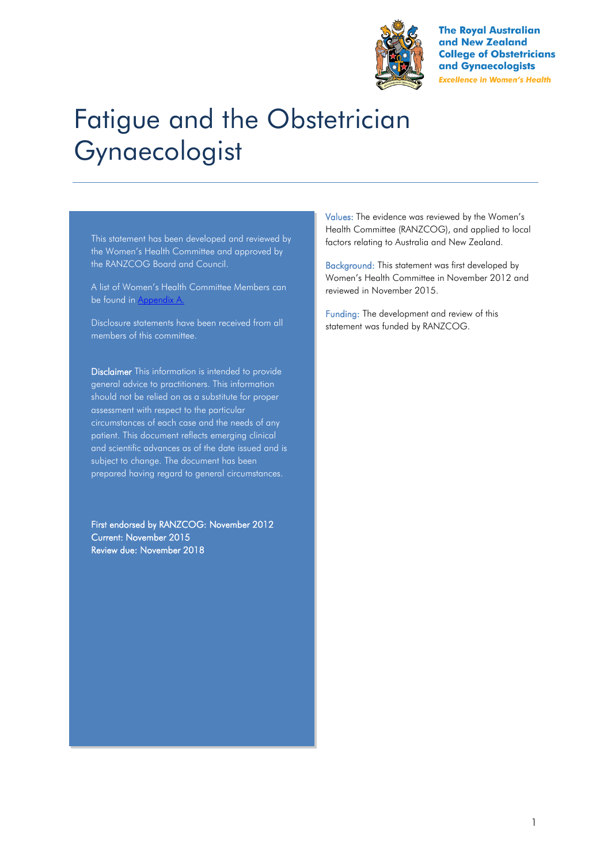

**The Royal Australian** and New Zealand **College of Obstetricians** and Gynaecologists **Excellence in Women's Health** 

# Fatigue and the Obstetrician Gynaecologist

This statement has been developed and reviewed by the Women's Health Committee and approved by the RANZCOG Board and Council.

A list of Women's Health Committee Members can be found in Appendix A.

Disclosure statements have been received from all members of this committee.

Disclaimer This information is intended to provide general advice to practitioners. This information should not be relied on as a substitute for proper assessment with respect to the particular circumstances of each case and the needs of any patient. This document reflects emerging clinical and scientific advances as of the date issued and is subject to change. The document has been prepared having regard to general circumstances.

First endorsed by RANZCOG: November 2012 Current: November 2015 Review due: November 2018

Values: The evidence was reviewed by the Women's Health Committee (RANZCOG), and applied to local factors relating to Australia and New Zealand.

Background: This statement was first developed by Women's Health Committee in November 2012 and reviewed in November 2015.

Funding: The development and review of this statement was funded by RANZCOG.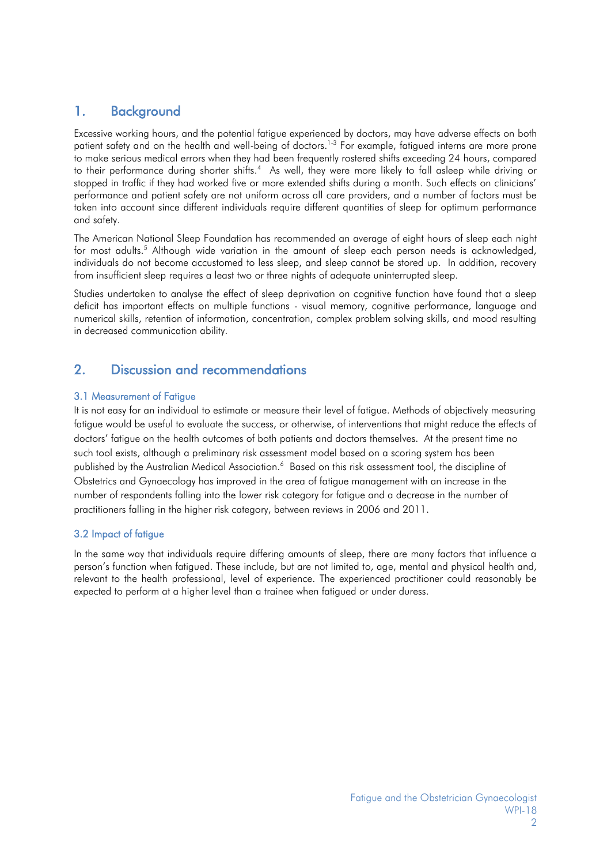# 1. Background

Excessive working hours, and the potential fatigue experienced by doctors, may have adverse effects on both patient safety and on the health and well-being of doctors.<sup>[1-3](#page-4-0)</sup> For example, fatigued interns are more prone to make serious medical errors when they had been frequently rostered shifts exceeding 24 hours, compared totheir performance during shorter shifts.<sup>4</sup> As well, they were more likely to fall asleep while driving or stopped in traffic if they had worked five or more extended shifts during a month. Such effects on clinicians' performance and patient safety are not uniform across all care providers, and a number of factors must be taken into account since different individuals require different quantities of sleep for optimum performance and safety.

The American National Sleep Foundation has recommended an average of eight hours of sleep each night for most adults[.](#page-4-2)<sup>5</sup> Although wide variation in the amount of sleep each person needs is acknowledged, individuals do not become accustomed to less sleep, and sleep cannot be stored up. In addition, recovery from insufficient sleep requires a least two or three nights of adequate uninterrupted sleep.

Studies undertaken to analyse the effect of sleep deprivation on cognitive function have found that a sleep deficit has important effects on multiple functions - visual memory, cognitive performance, language and numerical skills, retention of information, concentration, complex problem solving skills, and mood resulting in decreased communication ability.

## 2. Discussion and recommendations

## 3.1 Measurement of Fatigue

It is not easy for an individual to estimate or measure their level of fatigue. Methods of objectively measuring fatigue would be useful to evaluate the success, or otherwise, of interventions that might reduce the effects of doctors' fatigue on the health outcomes of both patients and doctors themselves. At the present time no such tool exists, although a preliminary risk assessment model based on a scoring system has been publishedby the Australian Medical Association.<sup>6</sup> Based on this risk assessment tool, the discipline of Obstetrics and Gynaecology has improved in the area of fatigue management with an increase in the number of respondents falling into the lower risk category for fatigue and a decrease in the number of practitioners falling in the higher risk category, between reviews in 2006 and 2011.

## 3.2 Impact of fatigue

In the same way that individuals require differing amounts of sleep, there are many factors that influence a person's function when fatigued. These include, but are not limited to, age, mental and physical health and, relevant to the health professional, level of experience. The experienced practitioner could reasonably be expected to perform at a higher level than a trainee when fatigued or under duress.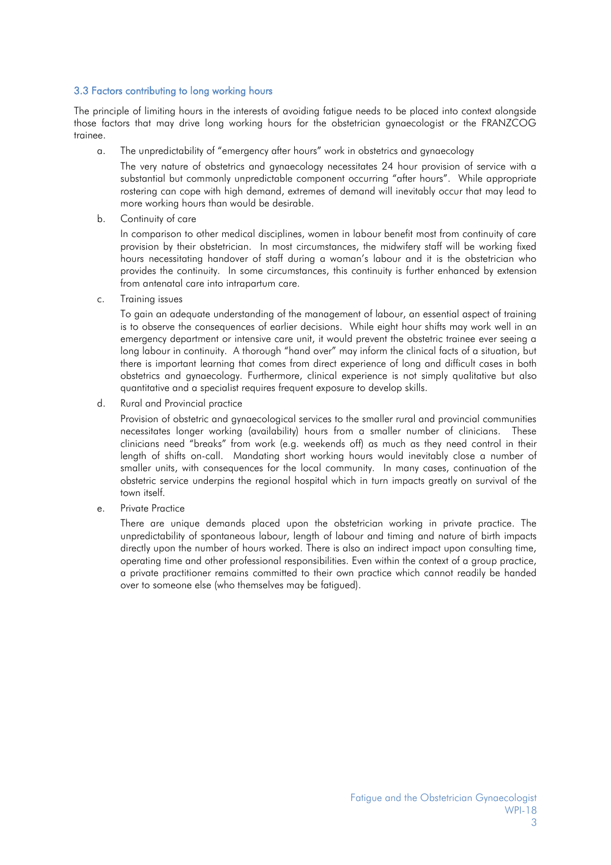#### 3.3 Factors contributing to long working hours

The principle of limiting hours in the interests of avoiding fatigue needs to be placed into context alongside those factors that may drive long working hours for the obstetrician gynaecologist or the FRANZCOG trainee.

a. The unpredictability of "emergency after hours" work in obstetrics and gynaecology

The very nature of obstetrics and gynaecology necessitates 24 hour provision of service with a substantial but commonly unpredictable component occurring "after hours". While appropriate rostering can cope with high demand, extremes of demand will inevitably occur that may lead to more working hours than would be desirable.

b. Continuity of care

In comparison to other medical disciplines, women in labour benefit most from continuity of care provision by their obstetrician. In most circumstances, the midwifery staff will be working fixed hours necessitating handover of staff during a woman's labour and it is the obstetrician who provides the continuity. In some circumstances, this continuity is further enhanced by extension from antenatal care into intrapartum care.

c. Training issues

To gain an adequate understanding of the management of labour, an essential aspect of training is to observe the consequences of earlier decisions. While eight hour shifts may work well in an emergency department or intensive care unit, it would prevent the obstetric trainee ever seeing a long labour in continuity. A thorough "hand over" may inform the clinical facts of a situation, but there is important learning that comes from direct experience of long and difficult cases in both obstetrics and gynaecology. Furthermore, clinical experience is not simply qualitative but also quantitative and a specialist requires frequent exposure to develop skills.

d. Rural and Provincial practice

Provision of obstetric and gynaecological services to the smaller rural and provincial communities necessitates longer working (availability) hours from a smaller number of clinicians. These clinicians need "breaks" from work (e.g. weekends off) as much as they need control in their length of shifts on-call. Mandating short working hours would inevitably close a number of smaller units, with consequences for the local community. In many cases, continuation of the obstetric service underpins the regional hospital which in turn impacts greatly on survival of the town itself.

e. Private Practice

There are unique demands placed upon the obstetrician working in private practice. The unpredictability of spontaneous labour, length of labour and timing and nature of birth impacts directly upon the number of hours worked. There is also an indirect impact upon consulting time, operating time and other professional responsibilities. Even within the context of a group practice, a private practitioner remains committed to their own practice which cannot readily be handed over to someone else (who themselves may be fatigued).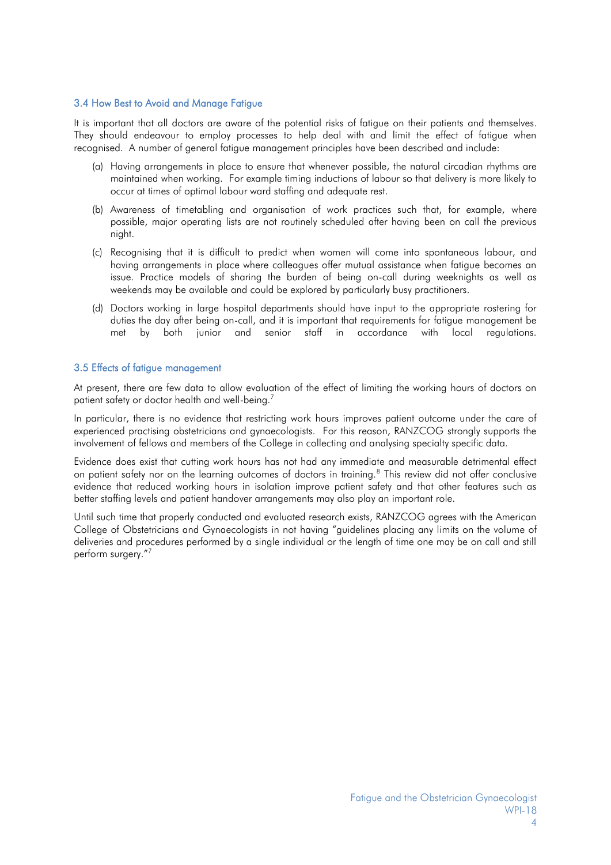#### 3.4 How Best to Avoid and Manage Fatigue

It is important that all doctors are aware of the potential risks of fatigue on their patients and themselves. They should endeavour to employ processes to help deal with and limit the effect of fatigue when recognised. A number of general fatigue management principles have been described and include:

- (a) Having arrangements in place to ensure that whenever possible, the natural circadian rhythms are maintained when working. For example timing inductions of labour so that delivery is more likely to occur at times of optimal labour ward staffing and adequate rest.
- (b) Awareness of timetabling and organisation of work practices such that, for example, where possible, major operating lists are not routinely scheduled after having been on call the previous night.
- (c) Recognising that it is difficult to predict when women will come into spontaneous labour, and having arrangements in place where colleagues offer mutual assistance when fatigue becomes an issue. Practice models of sharing the burden of being on-call during weeknights as well as weekends may be available and could be explored by particularly busy practitioners.
- (d) Doctors working in large hospital departments should have input to the appropriate rostering for duties the day after being on-call, and it is important that requirements for fatigue management be met by both junior and senior staff in accordance with local regulations.

#### 3.5 Effects of fatigue management

At present, there are few data to allow evaluation of the effect of limiting the working hours of doctors on patient safety or doctor health and well-being[.](#page-4-4)<sup>7</sup>

In particular, there is no evidence that restricting work hours improves patient outcome under the care of experienced practising obstetricians and gynaecologists. For this reason, RANZCOG strongly supports the involvement of fellows and members of the College in collecting and analysing specialty specific data.

Evidence does exist that cutting work hours has not had any immediate and measurable detrimental effect on patient safety nor on the learning outcomes of doctors in training.<sup>[8](#page-4-5)</sup> This review did not offer conclusive evidence that reduced working hours in isolation improve patient safety and that other features such as better staffing levels and patient handover arrangements may also play an important role.

Until such time that properly conducted and evaluated research exists, RANZCOG agrees with the American College of Obstetricians and Gynaecologists in not having "guidelines placing any limits on the volume of deliveries and procedures performed by a single individual or the length of time one may be on call and still perform surgery.["](#page-4-4)<sup>7</sup>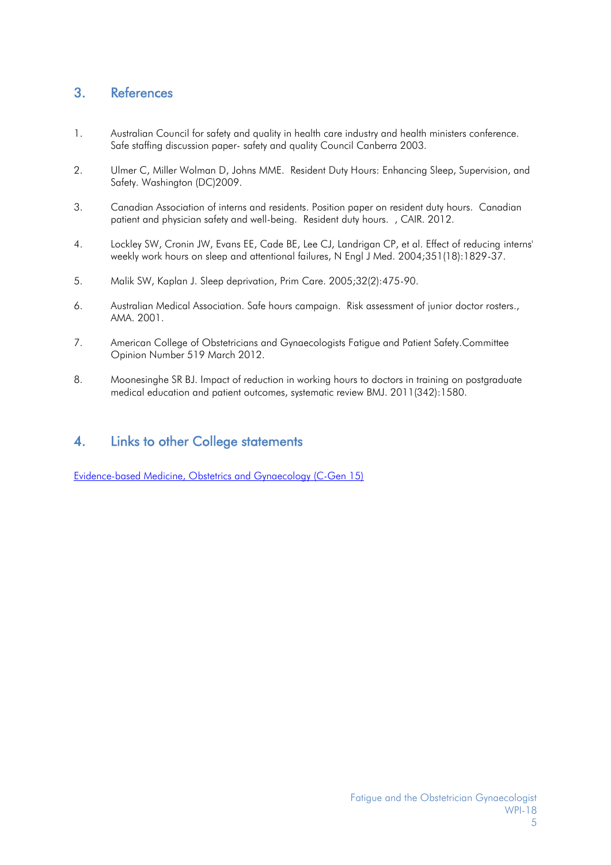# 3. References

- <span id="page-4-0"></span>1. Australian Council for safety and quality in health care industry and health ministers conference. Safe staffing discussion paper- safety and quality Council Canberra 2003.
- 2. Ulmer C, Miller Wolman D, Johns MME. Resident Duty Hours: Enhancing Sleep, Supervision, and Safety. Washington (DC)2009.
- 3. Canadian Association of interns and residents. Position paper on resident duty hours. Canadian patient and physician safety and well-being. Resident duty hours. , CAIR. 2012.
- <span id="page-4-1"></span>4. Lockley SW, Cronin JW, Evans EE, Cade BE, Lee CJ, Landrigan CP, et al. Effect of reducing interns' weekly work hours on sleep and attentional failures, N Engl J Med. 2004;351(18):1829-37.
- <span id="page-4-2"></span>5. Malik SW, Kaplan J. Sleep deprivation, Prim Care. 2005;32(2):475-90.
- <span id="page-4-3"></span>6. Australian Medical Association. Safe hours campaign. Risk assessment of junior doctor rosters., AMA. 2001.
- <span id="page-4-4"></span>7. American College of Obstetricians and Gynaecologists Fatigue and Patient Safety.Committee Opinion Number 519 March 2012.
- <span id="page-4-5"></span>8. Moonesinghe SR BJ. Impact of reduction in working hours to doctors in training on postgraduate medical education and patient outcomes, systematic review BMJ. 2011(342):1580.

## 4. Links to other College statements

[Evidence-based Medicine, Obstetrics and Gynaecology](https://www.ranzcog.edu.au/RANZCOG_SITE/media/RANZCOG-MEDIA/Women%27s%20Health/Statement%20and%20guidelines/Clinical%20-%20General/Evidence-based-medicine,-Obstetrics-and-Gynaecology-(C-Gen-15)-Review-March-2016.pdf?ext=.pdf) (C-Gen 15)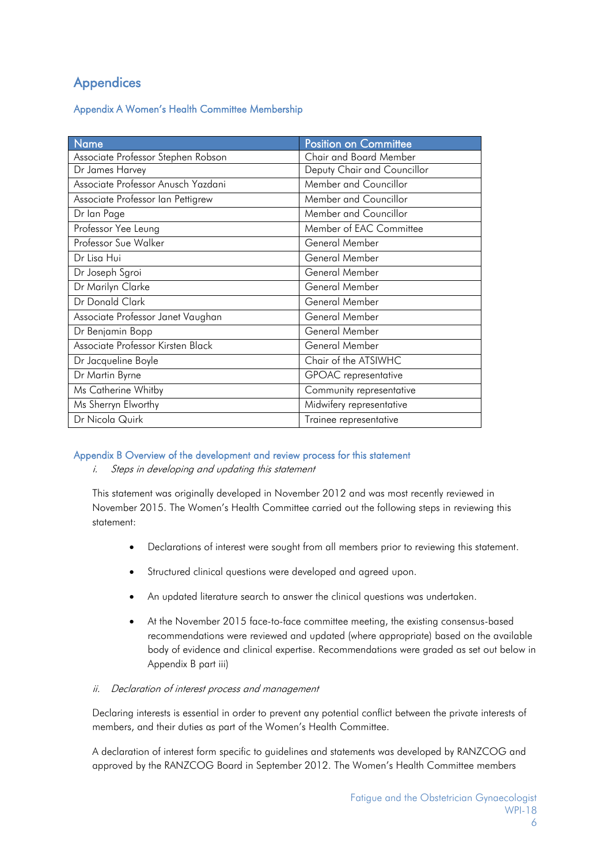# Appendices

Appendix A Women's Health Committee Membership

| <b>Name</b>                        | <b>Position on Committee</b> |  |
|------------------------------------|------------------------------|--|
| Associate Professor Stephen Robson | Chair and Board Member       |  |
| Dr James Harvey                    | Deputy Chair and Councillor  |  |
| Associate Professor Anusch Yazdani | Member and Councillor        |  |
| Associate Professor Ian Pettigrew  | Member and Councillor        |  |
| Dr Ian Page                        | Member and Councillor        |  |
| Professor Yee Leung                | Member of EAC Committee      |  |
| Professor Sue Walker               | General Member               |  |
| Dr Lisa Hui                        | General Member               |  |
| Dr Joseph Sgroi                    | General Member               |  |
| Dr Marilyn Clarke                  | General Member               |  |
| Dr Donald Clark                    | General Member               |  |
| Associate Professor Janet Vaughan  | General Member               |  |
| Dr Benjamin Bopp                   | General Member               |  |
| Associate Professor Kirsten Black  | General Member               |  |
| Dr Jacqueline Boyle                | Chair of the ATSIWHC         |  |
| Dr Martin Byrne                    | GPOAC representative         |  |
| Ms Catherine Whitby                | Community representative     |  |
| Ms Sherryn Elworthy                | Midwifery representative     |  |
| Dr Nicola Quirk                    | Trainee representative       |  |

## Appendix B Overview of the development and review process for this statement

i. Steps in developing and updating this statement

This statement was originally developed in November 2012 and was most recently reviewed in November 2015. The Women's Health Committee carried out the following steps in reviewing this statement:

- Declarations of interest were sought from all members prior to reviewing this statement.
- Structured clinical questions were developed and agreed upon.
- An updated literature search to answer the clinical questions was undertaken.
- At the November 2015 face-to-face committee meeting, the existing consensus-based recommendations were reviewed and updated (where appropriate) based on the available body of evidence and clinical expertise. Recommendations were graded as set out below in Appendix B part iii)
- ii. Declaration of interest process and management

Declaring interests is essential in order to prevent any potential conflict between the private interests of members, and their duties as part of the Women's Health Committee.

A declaration of interest form specific to guidelines and statements was developed by RANZCOG and approved by the RANZCOG Board in September 2012. The Women's Health Committee members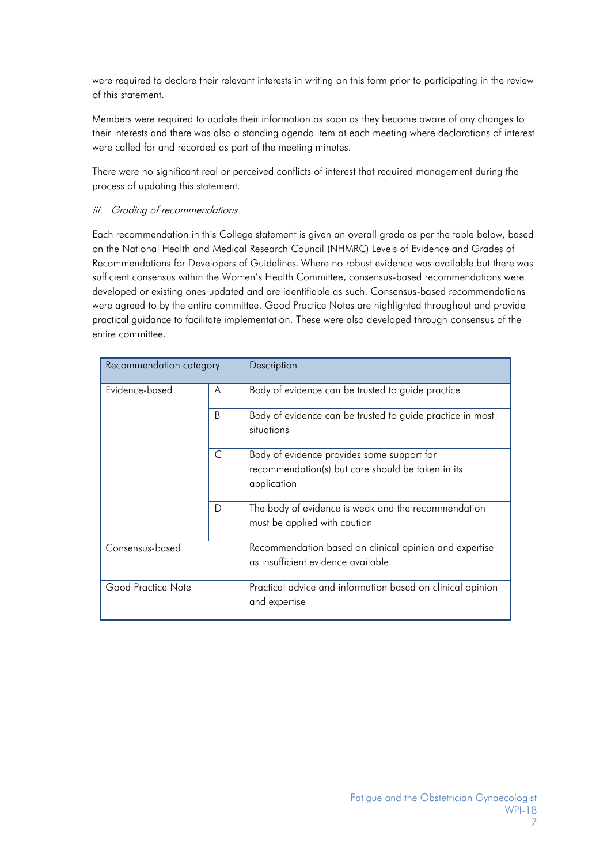were required to declare their relevant interests in writing on this form prior to participating in the review of this statement.

Members were required to update their information as soon as they become aware of any changes to their interests and there was also a standing agenda item at each meeting where declarations of interest were called for and recorded as part of the meeting minutes.

There were no significant real or perceived conflicts of interest that required management during the process of updating this statement.

#### iii. Grading of recommendations

Each recommendation in this College statement is given an overall grade as per the table below, based on the National Health and Medical Research Council (NHMRC) Levels of Evidence and Grades of Recommendations for Developers of Guidelines. Where no robust evidence was available but there was sufficient consensus within the Women's Health Committee, consensus-based recommendations were developed or existing ones updated and are identifiable as such. Consensus-based recommendations were agreed to by the entire committee. Good Practice Notes are highlighted throughout and provide practical guidance to facilitate implementation. These were also developed through consensus of the entire committee.

| Recommendation category |    | Description                                                                                                    |
|-------------------------|----|----------------------------------------------------------------------------------------------------------------|
| Evidence-based          | A  | Body of evidence can be trusted to guide practice                                                              |
|                         | B. | Body of evidence can be trusted to guide practice in most<br>situations                                        |
|                         | C  | Body of evidence provides some support for<br>recommendation(s) but care should be taken in its<br>application |
|                         | D  | The body of evidence is weak and the recommendation<br>must be applied with caution                            |
| Consensus-based         |    | Recommendation based on clinical opinion and expertise<br>as insufficient evidence available                   |
| Good Practice Note      |    | Practical advice and information based on clinical opinion<br>and expertise                                    |